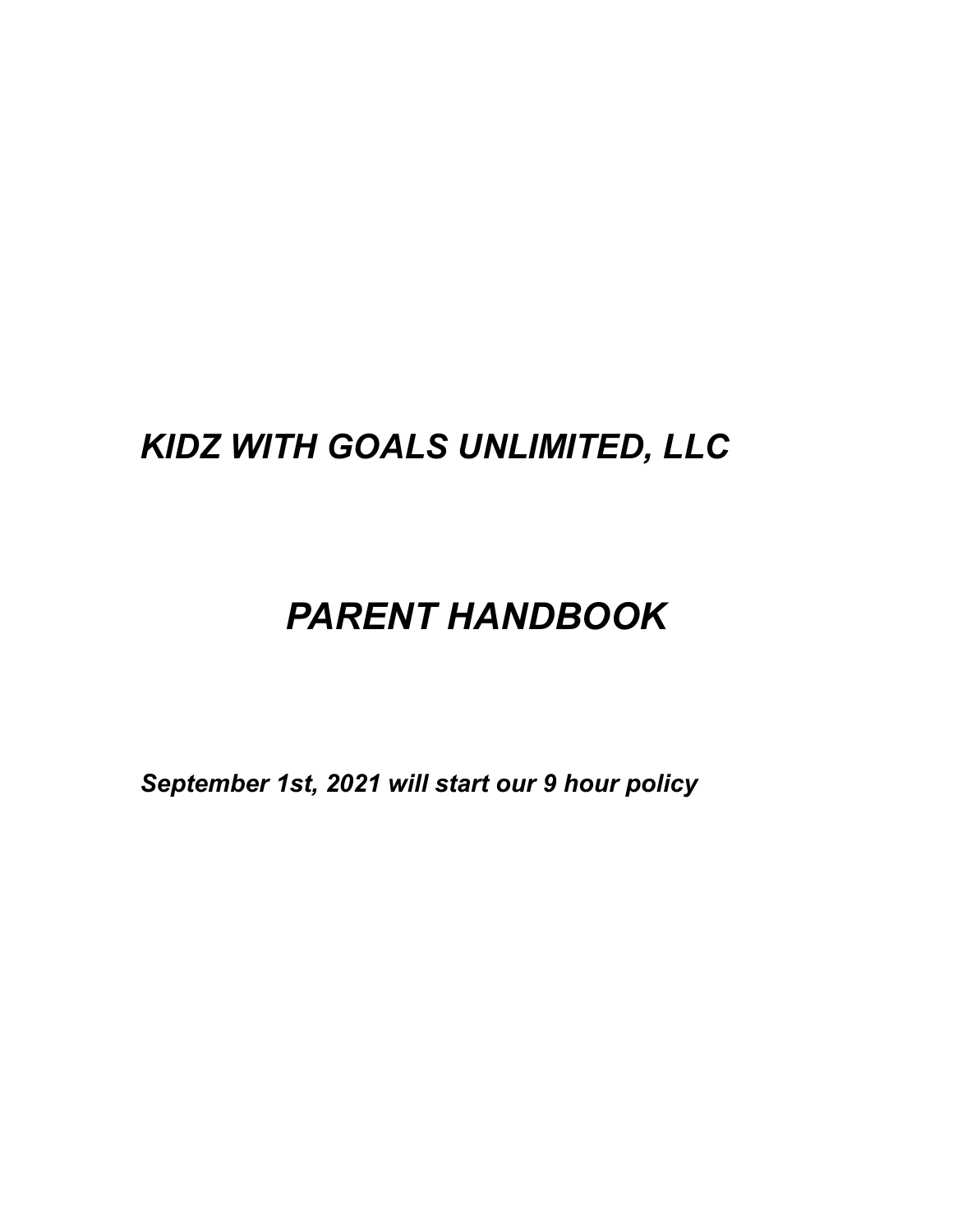# *KIDZ WITH GOALS UNLIMITED, LLC*

# *PARENT HANDBOOK*

*September 1st, 2021 will start our 9 hour policy*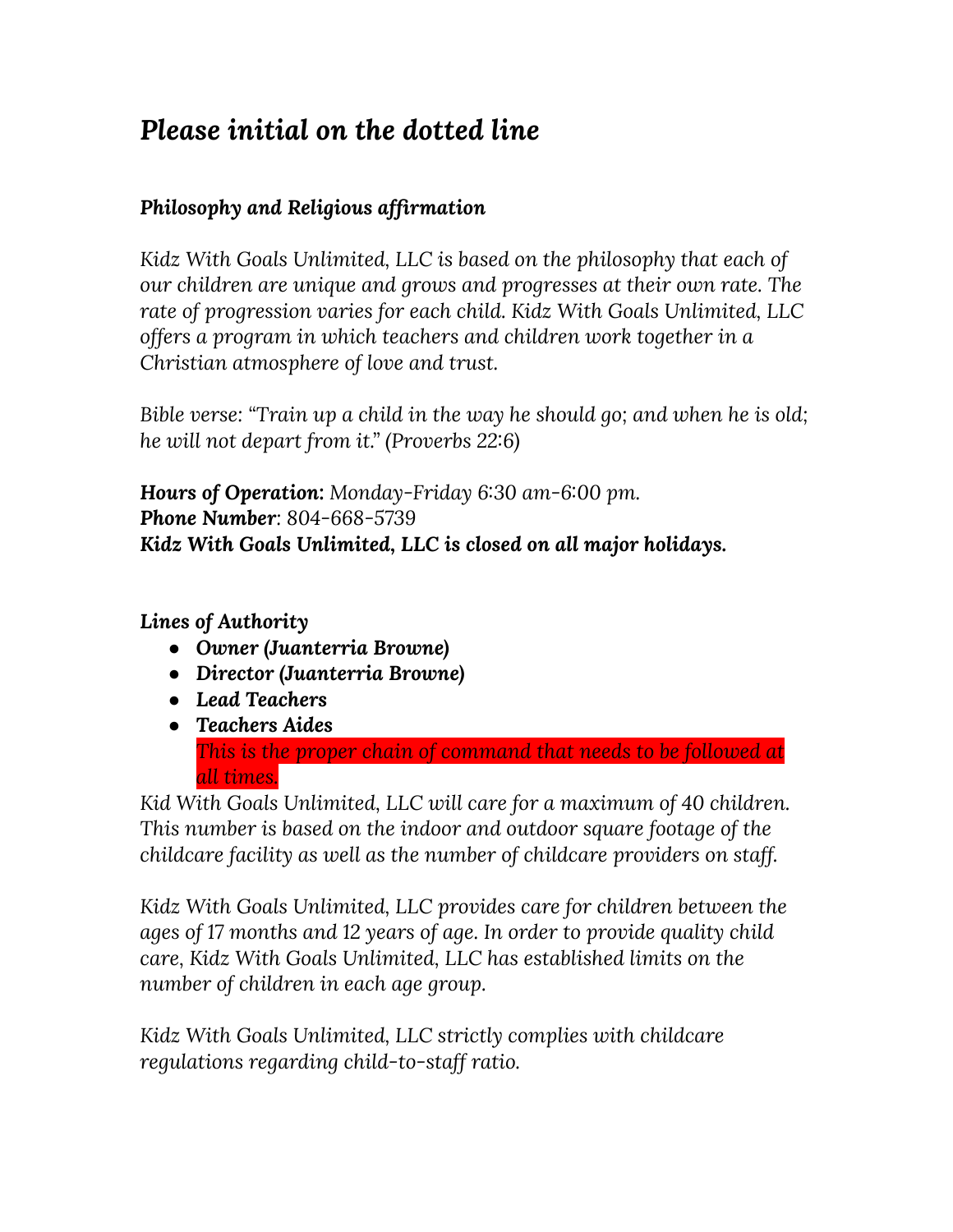# *Please initial on the dotted line*

# *Philosophy and Religious affirmation*

*Kidz With Goals Unlimited, LLC is based on the philosophy that each of our children are unique and grows and progresses at their own rate. The rate of progression varies for each child. Kidz With Goals Unlimited, LLC offers a program in which teachers and children work together in a Christian atmosphere of love and trust.*

*Bible verse: "Train up a child in the way he should go; and when he is old; he will not depart from it." (Proverbs 22:6)*

*Hours of Operation: Monday-Friday 6:30 am-6:00 pm. Phone Number: 804-668-5739 Kidz With Goals Unlimited, LLC is closed on all major holidays.*

### *Lines of Authority*

- *● Owner (Juanterria Browne)*
- *● Director (Juanterria Browne)*
- *● Lead Teachers*
- *● Teachers Aides This is the proper chain of command that needs to be followed at all times.*

*Kid With Goals Unlimited, LLC will care for a maximum of 40 children. This number is based on the indoor and outdoor square footage of the childcare facility as well as the number of childcare providers on staff.*

*Kidz With Goals Unlimited, LLC provides care for children between the ages of 17 months and 12 years of age. In order to provide quality child care, Kidz With Goals Unlimited, LLC has established limits on the number of children in each age group.*

*Kidz With Goals Unlimited, LLC strictly complies with childcare regulations regarding child-to-staff ratio.*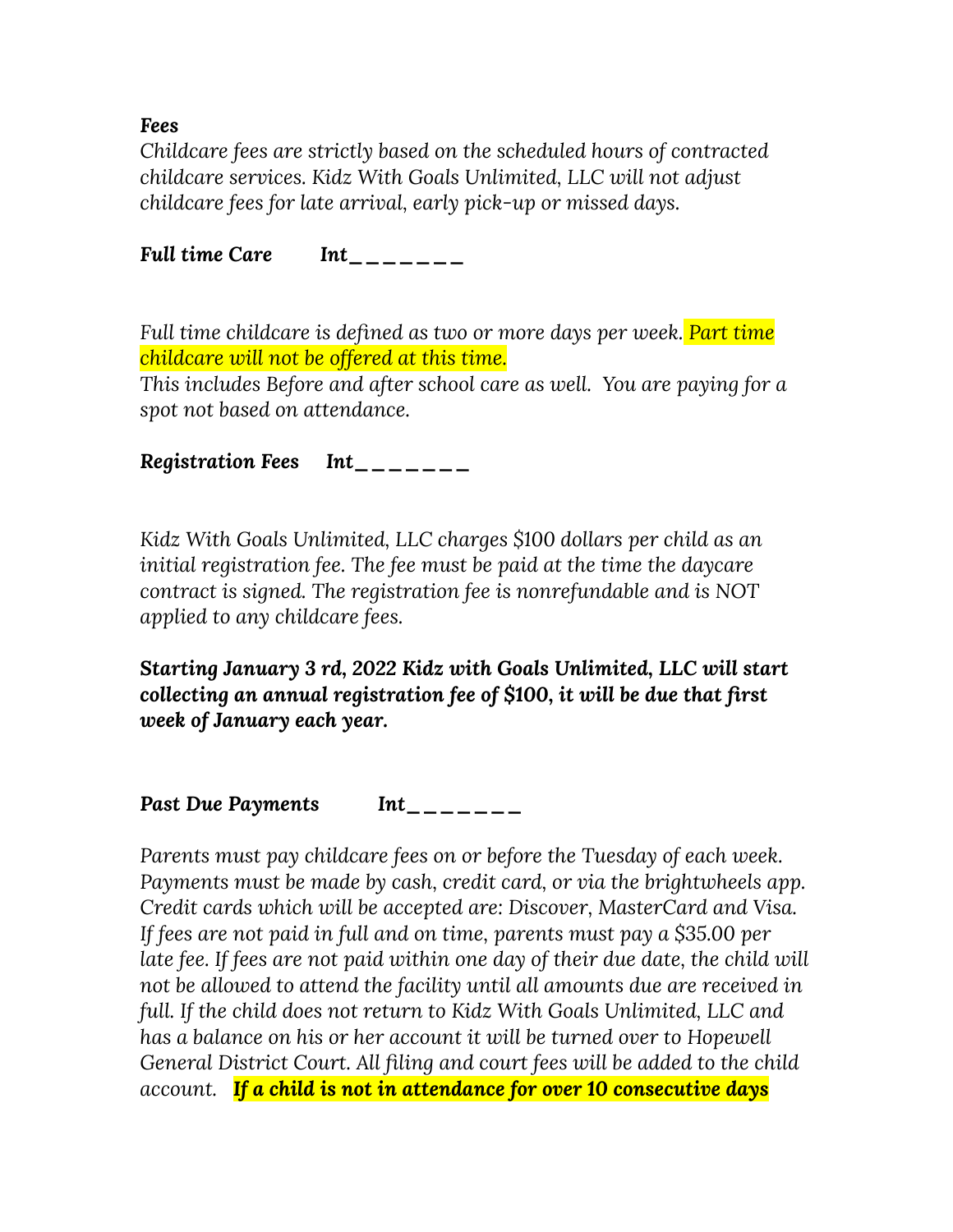*Fees*

*Childcare fees are strictly based on the scheduled hours of contracted childcare services. Kidz With Goals Unlimited, LLC will not adjust childcare fees for late arrival, early pick-up or missed days.*

*Full time Care Int\_\_\_\_\_\_\_*

*Full time childcare is defined as two or more days per week. Part time childcare will not be offered at this time.*

*This includes Before and after school care as well. You are paying for a spot not based on attendance.*

*Registration Fees Int\_\_\_\_\_\_\_*

*Kidz With Goals Unlimited, LLC charges \$100 dollars per child as an initial registration fee. The fee must be paid at the time the daycare contract is signed. The registration fee is nonrefundable and is NOT applied to any childcare fees.*

*Starting January 3 rd, 2022 Kidz with Goals Unlimited, LLC will start collecting an annual registration fee of \$100, it will be due that first week of January each year.*

*Past Due Payments Int\_\_\_\_\_\_\_*

*Parents must pay childcare fees on or before the Tuesday of each week. Payments must be made by cash, credit card, or via the brightwheels app. Credit cards which will be accepted are: Discover, MasterCard and Visa. If fees are not paid in full and on time, parents must pay a \$35.00 per late fee. If fees are not paid within one day of their due date, the child will not be allowed to attend the facility until all amounts due are received in full. If the child does not return to Kidz With Goals Unlimited, LLC and has a balance on his or her account it will be turned over to Hopewell General District Court. All filing and court fees will be added to the child account. If a child is not in attendance for over 10 consecutive days*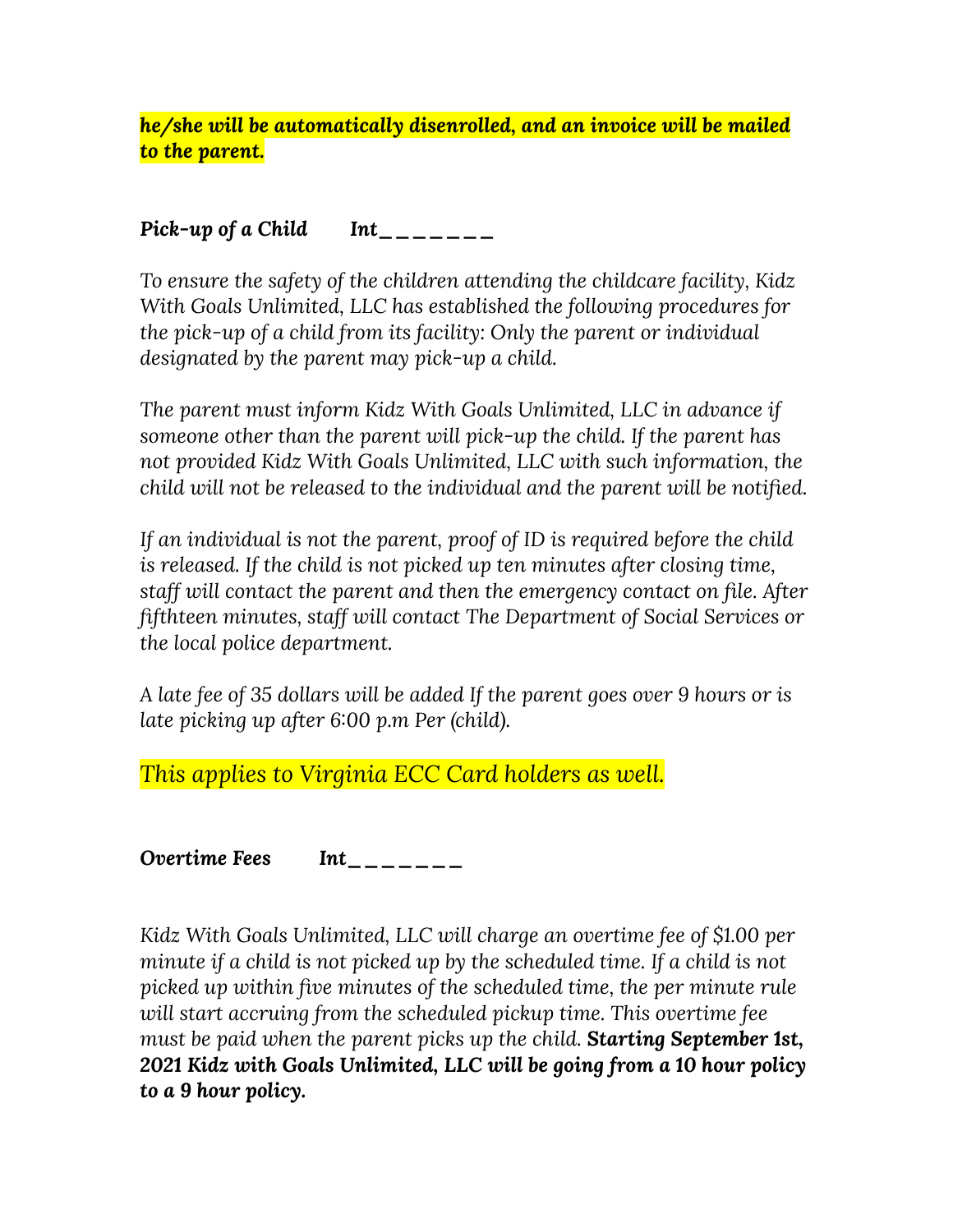*he/she will be automatically disenrolled, and an invoice will be mailed to the parent.*

# *Pick-up of a Child Int\_\_\_\_\_\_\_*

*To ensure the safety of the children attending the childcare facility, Kidz With Goals Unlimited, LLC has established the following procedures for the pick-up of a child from its facility: Only the parent or individual designated by the parent may pick-up a child.*

*The parent must inform Kidz With Goals Unlimited, LLC in advance if someone other than the parent will pick-up the child. If the parent has not provided Kidz With Goals Unlimited, LLC with such information, the child will not be released to the individual and the parent will be notified.*

*If an individual is not the parent, proof of ID is required before the child is released. If the child is not picked up ten minutes after closing time, staff will contact the parent and then the emergency contact on file. After fifthteen minutes, staff will contact The Department of Social Services or the local police department.*

*A late fee of 35 dollars will be added If the parent goes over 9 hours or is late picking up after 6:00 p.m Per (child).*

*This applies to Virginia ECC Card holders as well.*

*Overtime Fees Int\_\_\_\_\_\_\_*

*Kidz With Goals Unlimited, LLC will charge an overtime fee of \$1.00 per minute if a child is not picked up by the scheduled time. If a child is not picked up within five minutes of the scheduled time, the per minute rule will start accruing from the scheduled pickup time. This overtime fee must be paid when the parent picks up the child. Starting September 1st, 2021 Kidz with Goals Unlimited, LLC will be going from a 10 hour policy to a 9 hour policy.*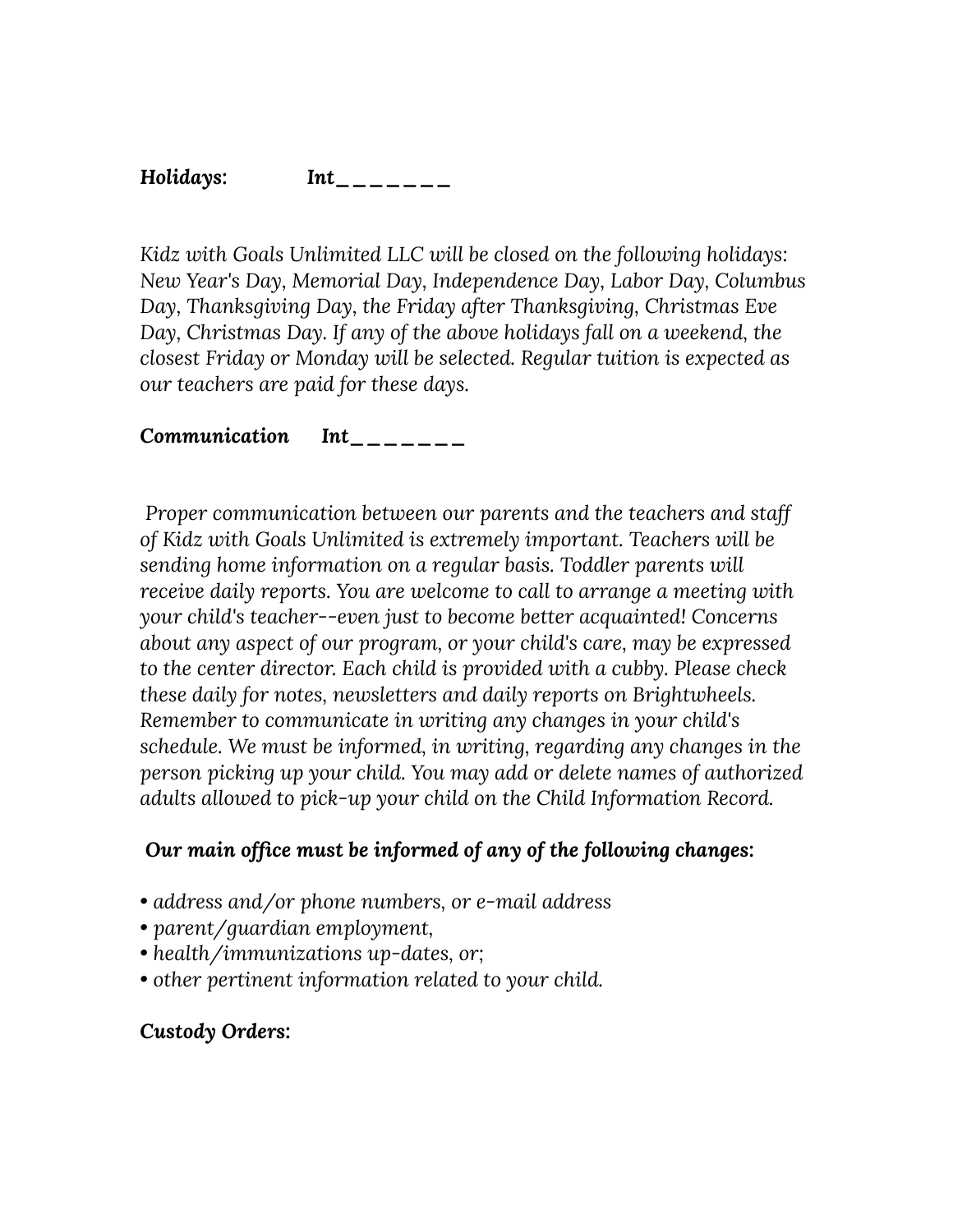#### *Holidays: Int\_\_\_\_\_\_\_*

*Kidz with Goals Unlimited LLC will be closed on the following holidays: New Year's Day, Memorial Day, Independence Day, Labor Day, Columbus Day, Thanksgiving Day, the Friday after Thanksgiving, Christmas Eve Day, Christmas Day. If any of the above holidays fall on a weekend, the closest Friday or Monday will be selected. Regular tuition is expected as our teachers are paid for these days.*

#### *Communication Int\_\_\_\_\_\_\_*

*Proper communication between our parents and the teachers and staff of Kidz with Goals Unlimited is extremely important. Teachers will be sending home information on a regular basis. Toddler parents will receive daily reports. You are welcome to call to arrange a meeting with your child's teacher--even just to become better acquainted! Concerns about any aspect of our program, or your child's care, may be expressed to the center director. Each child is provided with a cubby. Please check these daily for notes, newsletters and daily reports on Brightwheels. Remember to communicate in writing any changes in your child's schedule. We must be informed, in writing, regarding any changes in the person picking up your child. You may add or delete names of authorized adults allowed to pick-up your child on the Child Information Record.*

### *Our main office must be informed of any of the following changes:*

- *• address and/or phone numbers, or e-mail address*
- *• parent/guardian employment,*
- *• health/immunizations up-dates, or;*
- *• other pertinent information related to your child.*

#### *Custody Orders:*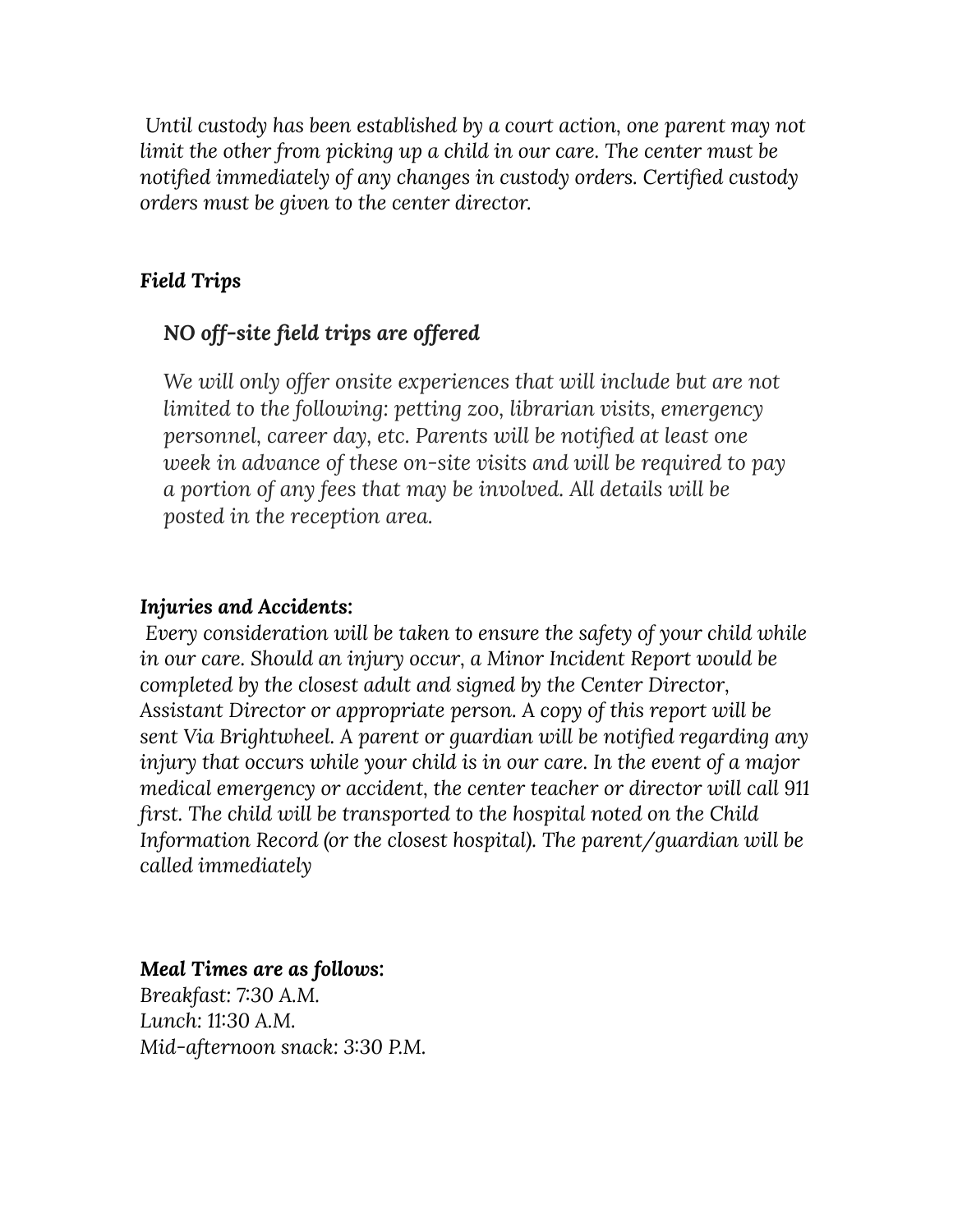*Until custody has been established by a court action, one parent may not limit the other from picking up a child in our care. The center must be notified immediately of any changes in custody orders. Certified custody orders must be given to the center director.*

# *Field Trips*

# *NO off-site field trips are offered*

*We will only offer onsite experiences that will include but are not limited to the following: petting zoo, librarian visits, emergency personnel, career day, etc. Parents will be notified at least one week in advance of these on-site visits and will be required to pay a portion of any fees that may be involved. All details will be posted in the reception area.*

#### *Injuries and Accidents:*

*Every consideration will be taken to ensure the safety of your child while in our care. Should an injury occur, a Minor Incident Report would be completed by the closest adult and signed by the Center Director, Assistant Director or appropriate person. A copy of this report will be sent Via Brightwheel. A parent or guardian will be notified regarding any injury that occurs while your child is in our care. In the event of a major medical emergency or accident, the center teacher or director will call 911 first. The child will be transported to the hospital noted on the Child Information Record (or the closest hospital). The parent/guardian will be called immediately*

### *Meal Times are as follows:*

*Breakfast: 7:30 A.M. Lunch: 11:30 A.M. Mid-afternoon snack: 3:30 P.M.*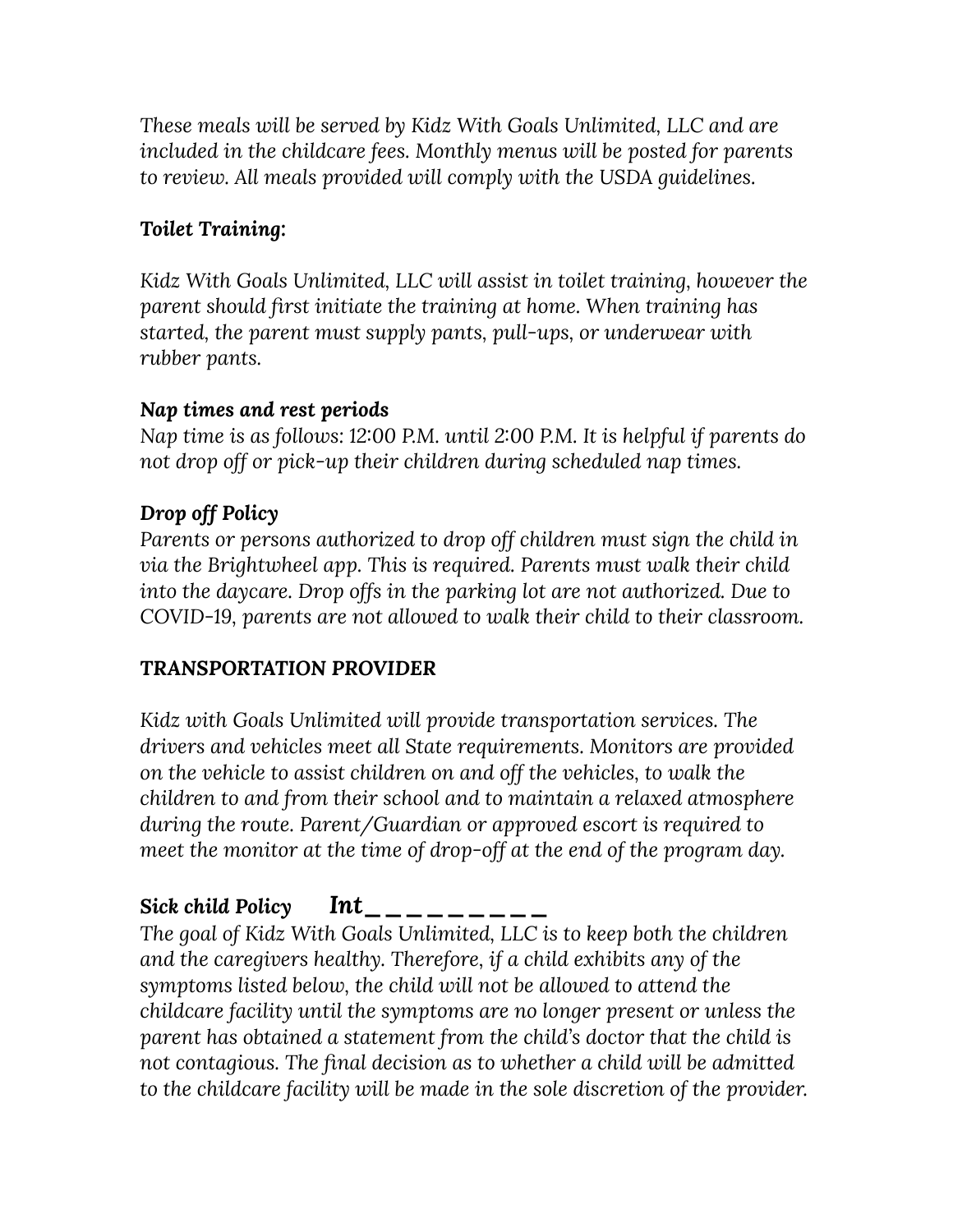*These meals will be served by Kidz With Goals Unlimited, LLC and are included in the childcare fees. Monthly menus will be posted for parents to review. All meals provided will comply with the USDA guidelines.*

# *Toilet Training:*

*Kidz With Goals Unlimited, LLC will assist in toilet training, however the parent should first initiate the training at home. When training has started, the parent must supply pants, pull-ups, or underwear with rubber pants.*

# *Nap times and rest periods*

*Nap time is as follows: 12:00 P.M. until 2:00 P.M. It is helpful if parents do not drop off or pick-up their children during scheduled nap times.*

# *Drop off Policy*

*Parents or persons authorized to drop off children must sign the child in via the Brightwheel app. This is required. Parents must walk their child into the daycare. Drop offs in the parking lot are not authorized. Due to COVID-19, parents are not allowed to walk their child to their classroom.*

# *TRANSPORTATION PROVIDER*

*Kidz with Goals Unlimited will provide transportation services. The drivers and vehicles meet all State requirements. Monitors are provided on the vehicle to assist children on and off the vehicles, to walk the children to and from their school and to maintain a relaxed atmosphere during the route. Parent/Guardian or approved escort is required to meet the monitor at the time of drop-off at the end of the program day.*

# *Sick child Policy Int\_\_\_\_\_\_\_\_\_*

*The goal of Kidz With Goals Unlimited, LLC is to keep both the children and the caregivers healthy. Therefore, if a child exhibits any of the symptoms listed below, the child will not be allowed to attend the childcare facility until the symptoms are no longer present or unless the parent has obtained a statement from the child's doctor that the child is not contagious. The final decision as to whether a child will be admitted to the childcare facility will be made in the sole discretion of the provider.*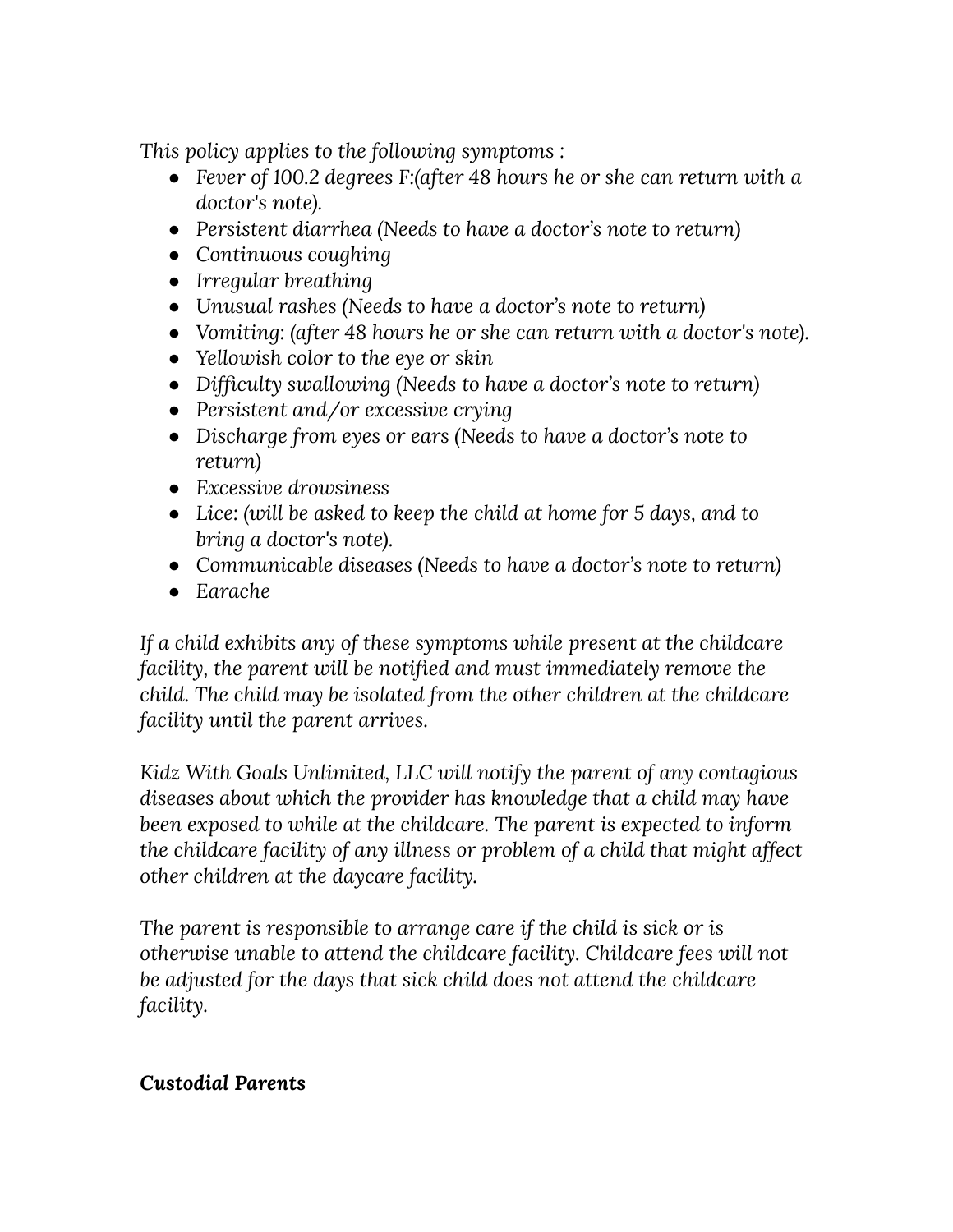*This policy applies to the following symptoms :*

- *● Fever of 100.2 degrees F:(after 48 hours he or she can return with a doctor's note).*
- *● Persistent diarrhea (Needs to have a doctor's note to return)*
- *● Continuous coughing*
- *● Irregular breathing*
- *● Unusual rashes (Needs to have a doctor's note to return)*
- *● Vomiting: (after 48 hours he or she can return with a doctor's note).*
- *● Yellowish color to the eye or skin*
- *● Difficulty swallowing (Needs to have a doctor's note to return)*
- *● Persistent and/or excessive crying*
- *● Discharge from eyes or ears (Needs to have a doctor's note to return)*
- *● Excessive drowsiness*
- *● Lice: (will be asked to keep the child at home for 5 days, and to bring a doctor's note).*
- *● Communicable diseases (Needs to have a doctor's note to return)*
- *● Earache*

*If a child exhibits any of these symptoms while present at the childcare facility, the parent will be notified and must immediately remove the child. The child may be isolated from the other children at the childcare facility until the parent arrives.*

*Kidz With Goals Unlimited, LLC will notify the parent of any contagious diseases about which the provider has knowledge that a child may have been exposed to while at the childcare. The parent is expected to inform the childcare facility of any illness or problem of a child that might affect other children at the daycare facility.*

*The parent is responsible to arrange care if the child is sick or is otherwise unable to attend the childcare facility. Childcare fees will not be adjusted for the days that sick child does not attend the childcare facility.*

# *Custodial Parents*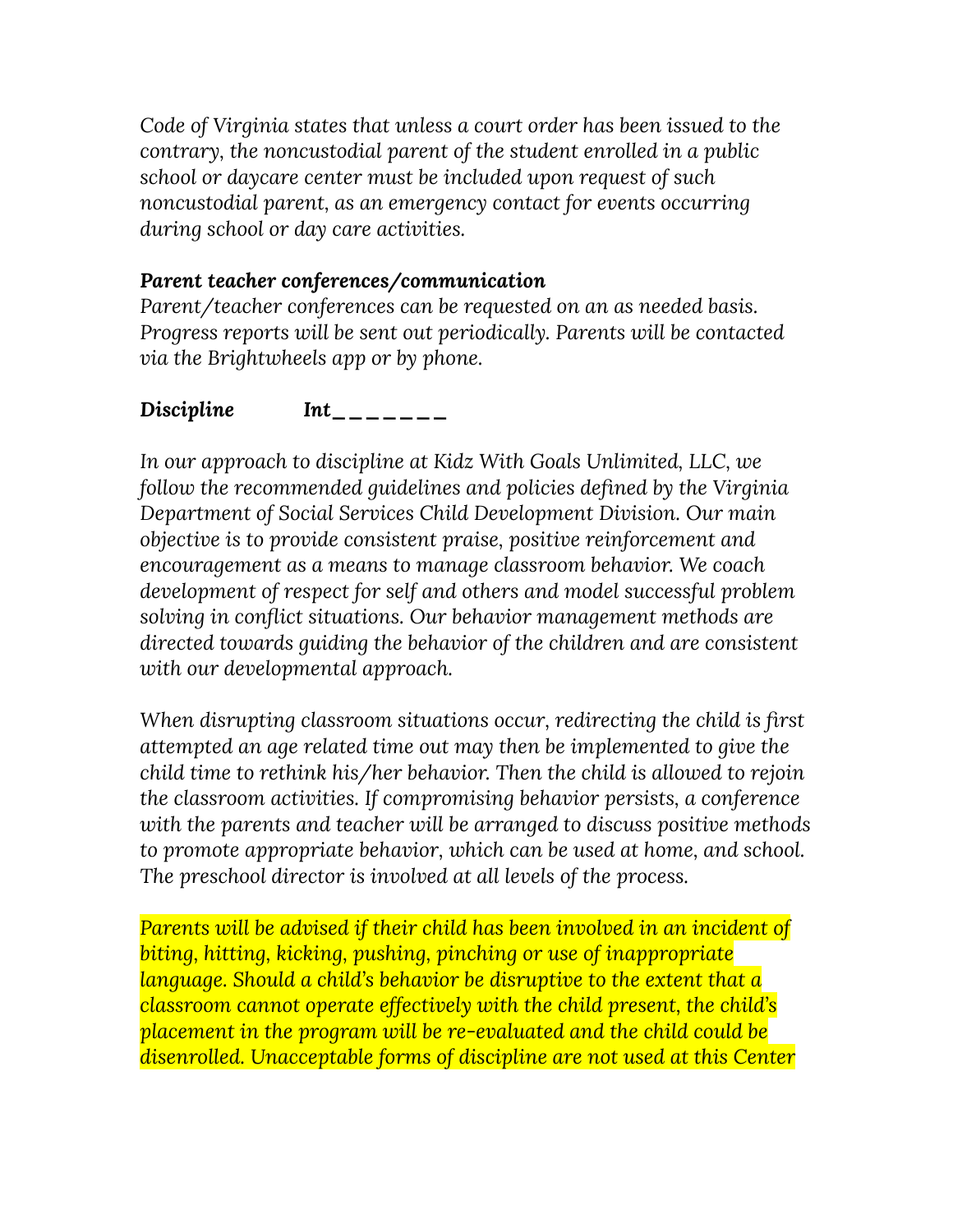*Code of Virginia states that unless a court order has been issued to the contrary, the noncustodial parent of the student enrolled in a public school or daycare center must be included upon request of such noncustodial parent, as an emergency contact for events occurring during school or day care activities.*

#### *Parent teacher conferences/communication*

*Parent/teacher conferences can be requested on an as needed basis. Progress reports will be sent out periodically. Parents will be contacted via the Brightwheels app or by phone.*

# *Discipline Int\_\_\_\_\_\_\_*

*In our approach to discipline at Kidz With Goals Unlimited, LLC, we follow the recommended guidelines and policies defined by the Virginia Department of Social Services Child Development Division. Our main objective is to provide consistent praise, positive reinforcement and encouragement as a means to manage classroom behavior. We coach development of respect for self and others and model successful problem solving in conflict situations. Our behavior management methods are directed towards guiding the behavior of the children and are consistent with our developmental approach.*

*When disrupting classroom situations occur, redirecting the child is first attempted an age related time out may then be implemented to give the child time to rethink his/her behavior. Then the child is allowed to rejoin the classroom activities. If compromising behavior persists, a conference with the parents and teacher will be arranged to discuss positive methods to promote appropriate behavior, which can be used at home, and school. The preschool director is involved at all levels of the process.*

*Parents will be advised if their child has been involved in an incident of biting, hitting, kicking, pushing, pinching or use of inappropriate language. Should a child's behavior be disruptive to the extent that a classroom cannot operate effectively with the child present, the child's placement in the program will be re-evaluated and the child could be disenrolled. Unacceptable forms of discipline are not used at this Center*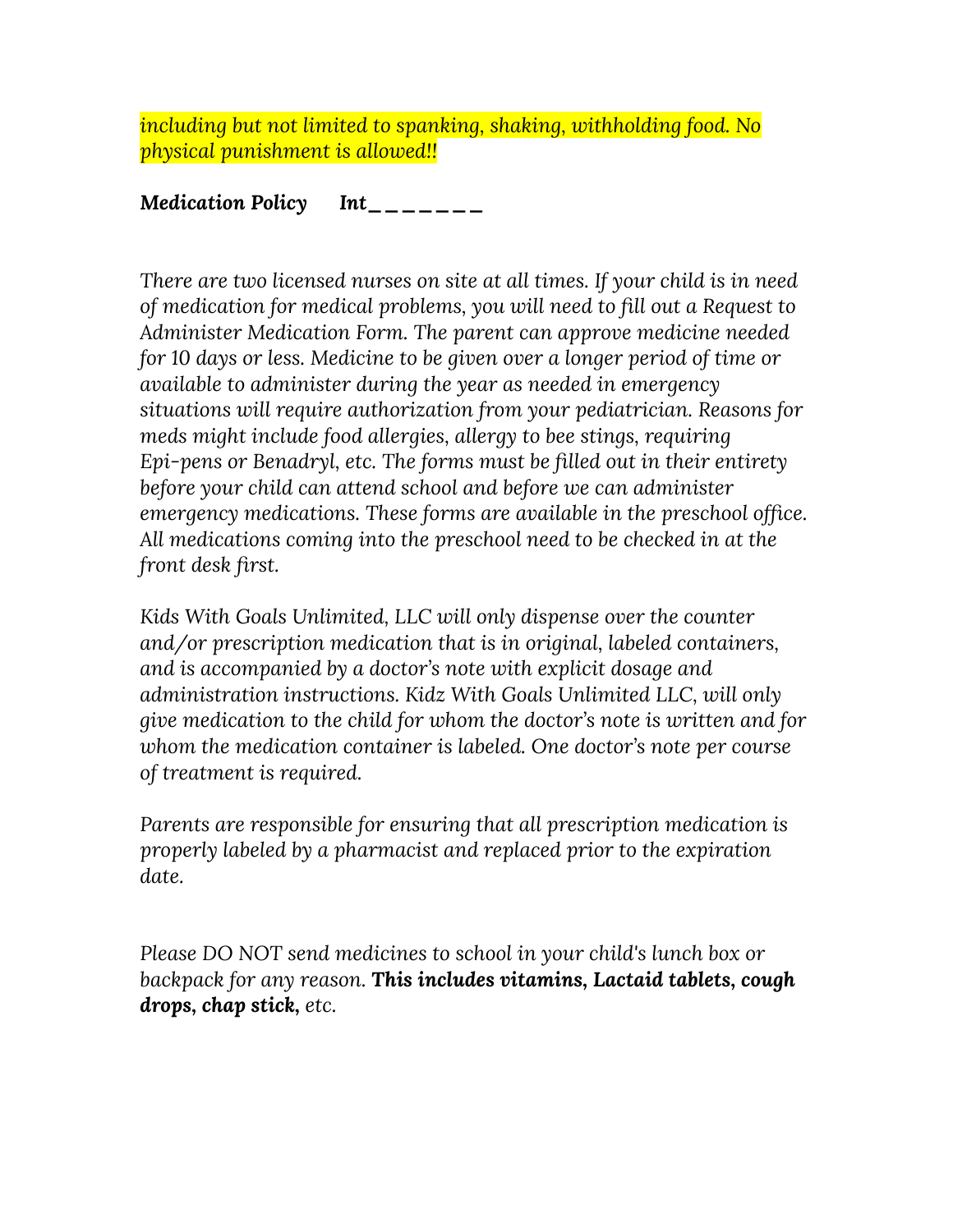*including but not limited to spanking, shaking, withholding food. No physical punishment is allowed!!*

*Medication Policy Int\_\_\_\_\_\_\_*

*There are two licensed nurses on site at all times. If your child is in need of medication for medical problems, you will need to fill out a Request to Administer Medication Form. The parent can approve medicine needed for 10 days or less. Medicine to be given over a longer period of time or available to administer during the year as needed in emergency situations will require authorization from your pediatrician. Reasons for meds might include food allergies, allergy to bee stings, requiring Epi-pens or Benadryl, etc. The forms must be filled out in their entirety before your child can attend school and before we can administer emergency medications. These forms are available in the preschool office. All medications coming into the preschool need to be checked in at the front desk first.*

*Kids With Goals Unlimited, LLC will only dispense over the counter and/or prescription medication that is in original, labeled containers, and is accompanied by a doctor's note with explicit dosage and administration instructions. Kidz With Goals Unlimited LLC, will only give medication to the child for whom the doctor's note is written and for whom the medication container is labeled. One doctor's note per course of treatment is required.*

*Parents are responsible for ensuring that all prescription medication is properly labeled by a pharmacist and replaced prior to the expiration date.*

*Please DO NOT send medicines to school in your child's lunch box or backpack for any reason. This includes vitamins, Lactaid tablets, cough drops, chap stick, etc.*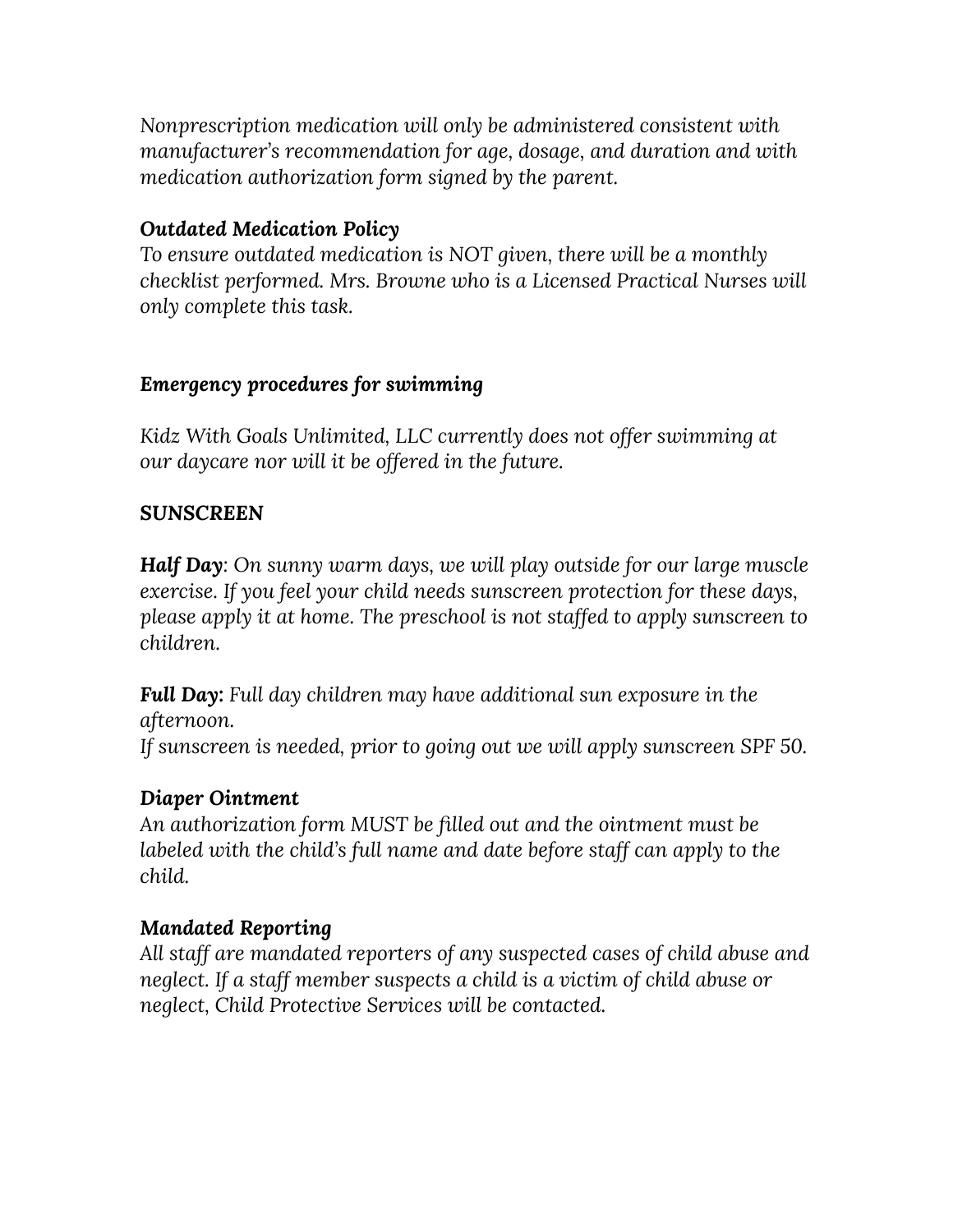*Nonprescription medication will only be administered consistent with manufacturer's recommendation for age, dosage, and duration and with medication authorization form signed by the parent.*

# *Outdated Medication Policy*

*To ensure outdated medication is NOT given, there will be a monthly checklist performed. Mrs. Browne who is a Licensed Practical Nurses will only complete this task.*

### *Emergency procedures for swimming*

*Kidz With Goals Unlimited, LLC currently does not offer swimming at our daycare nor will it be offered in the future.*

#### *SUNSCREEN*

*Half Day: On sunny warm days, we will play outside for our large muscle exercise. If you feel your child needs sunscreen protection for these days, please apply it at home. The preschool is not staffed to apply sunscreen to children.*

*Full Day: Full day children may have additional sun exposure in the afternoon.*

*If sunscreen is needed, prior to going out we will apply sunscreen SPF 50.*

### *Diaper Ointment*

*An authorization form MUST be filled out and the ointment must be labeled with the child's full name and date before staff can apply to the child.*

### *Mandated Reporting*

*All staff are mandated reporters of any suspected cases of child abuse and neglect. If a staff member suspects a child is a victim of child abuse or neglect, Child Protective Services will be contacted.*